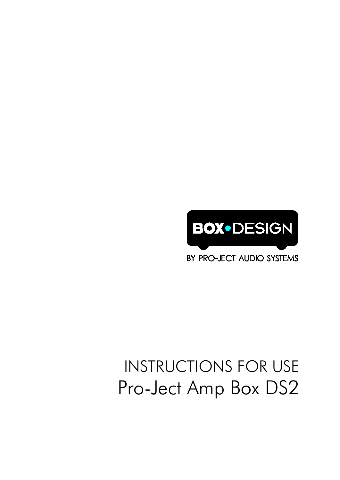

BY PRO-JECT AUDIO SYSTEMS

# INSTRUCTIONS FOR USE Pro-Ject Amp Box DS2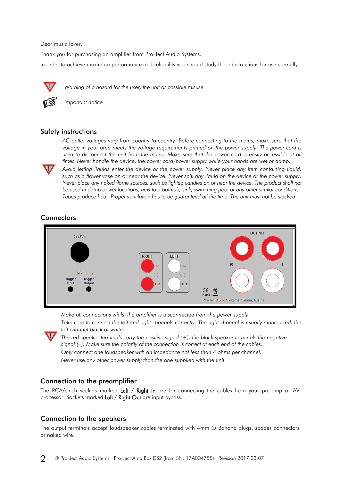Dear music lover,

Thank you for purchasing an amplifier from Pro-Ject Audio Systems.

In order to achieve maximum performance and reliability you should study these instructions for use carefully.



*Warning of a hazard for the user, the unit or possible misuse*



**!**

*Important notice*

#### Safety instructions

*AC outlet voltages vary from country to country. Before connecting to the mains, make sure that the*  voltage in your area meets the voltage requirements printed on the power supply. The power cord is used to disconnect the unit from the mains. Make sure that the power cord is easily accessible at all *times. Never handle the device, the power cord/power supply while your hands are wet or damp.*

*Avoid letting liquids enter the device or the power supply. Never place any item containing liquid, such as a flower vase on or near the device. Never spill any liquid on the device or the power supply. Never place any naked flame sources, such as lighted candles on or near the device. The product shall not be used in damp or wet locations, next to a bathtub, sink, swimming pool or any other similar conditions. Tubes produce heat. Proper ventilation has to be guaranteed all the time. The unit must not be stacked.*

# **Connectors**



*Make all connections whilst the amplifier is disconnected from the power supply.* Take care to connect the left and right channels correctly. The right channel is usually marked red, the



*left channel black or white. The red speaker terminals carry the positive signal (+), the black speaker terminals the negative signal (–). Make sure the polarity of the connection is correct at each end of the cables. Only connect one loudspeaker with an impedance not less than 4 ohms per channel.*

*Never use any other power supply than the one supplied with the unit.*

### Connection to the preamplifier

The RCA/cinch sockets marked Left / Right In are for connecting the cables from your pre-amp or AV processor. Sockets marked Left / Right Out are input bypass.

# Connection to the speakers

The output terminals accept loudspeaker cables terminated with 4mm ∅ Banana plugs, spades connectors or naked wire.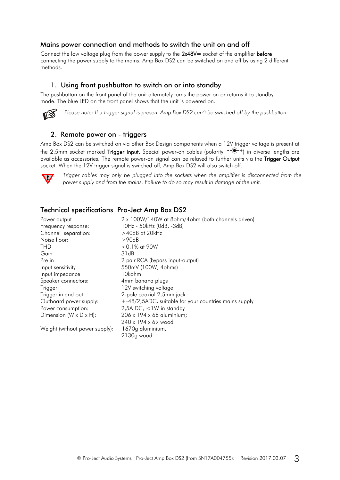#### Mains power connection and methods to switch the unit on and off

Connect the low voltage plug from the power supply to the 2x48V= socket of the amplifier before connecting the power supply to the mains. Amp Box DS2 can be switched on and off by using 2 different methods.

#### 1. Using front pushbutton to switch on or into standby

The pushbutton on the front panel of the unit alternately turns the power on or returns it to standby mode. The blue LED on the front panel shows that the unit is powered on.



*Please note: If a trigger signal is present Amp Box DS2 can't be switched off by the pushbutton.*

#### 2. Remote power on - triggers

Amp Box DS2 can be switched on via other Box Design components when a 12V trigger voltage is present at the 2.5mm socket marked **Trigger Input.** Special power-on cables (polarity  $\vec{e}$  +) in diverse lengths are available as accessories. The remote power-on signal can be relayed to further units via the Trigger Output socket. When the 12V trigger signal is switched off, Amp Box DS2 will also switch off.



*Trigger cables may only be plugged into the sockets when the amplifier is disconnected from the power supply and from the mains. Failure to do so may result in damage of the unit.*

#### Technical specifications Pro-Ject Amp Box DS2

| Power output           |
|------------------------|
| Frequency response:    |
| Channel separation:    |
| Noise floor:           |
| THD                    |
| Gain                   |
| Pre in                 |
| Input sensitivity      |
| Input impedance        |
| Speaker connectors:    |
| Trigger                |
| Trigger in and out     |
| Outboard power supply: |
| Power consumption:     |
| Dimension (W x D x H): |
|                        |

Weight (without power supply): 1670g aluminium,

2 x 100W/140W at 8ohm/4ohm (both channels driven) 10Hz - 50kHz (0dB, -3dB)  $>$  40dB at 20kHz  $>90dB$  $<$  0.1% at 90W  $31dB$ 2 pair RCA (bypass input-output) 550mV (100W, 4ohms) 10kohm 4mm banana plugs 12V switching voltage 2-pole coaxial 2,5mm jack +-48/2,5ADC, suitable for your countries mains supply 2,5A DC,  $<$ 1W in standby 206 x 194 x 68 aluminium; 240 x 194 x 69 wood 2130g wood